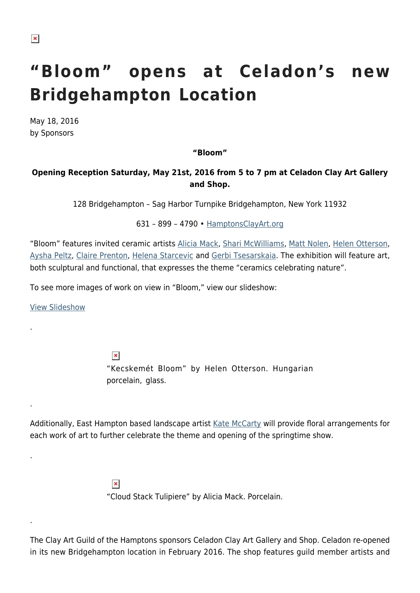## **"Bloom" opens at Celadon's new Bridgehampton Location**

May 18, 2016 by Sponsors

**"Bloom"**

## **Opening Reception Saturday, May 21st, 2016 from 5 to 7 pm at Celadon Clay Art Gallery and Shop.**

128 Bridgehampton – Sag Harbor Turnpike Bridgehampton, New York 11932

631 – 899 – 4790 • [HamptonsClayArt.org](http://HamptonsClayArt.org)

"Bloom" features invited ceramic artists [Alicia Mack](http://www.aliciamack.com/), [Shari McWilliams,](http://davidfranklinart.net/portfolio/ceramics/) [Matt Nolen](http://www.nolenstudios.com/), [Helen Otterson,](http://helenotterson.com/home.html) [Aysha Peltz,](http://www.ayshapeltz.com/) [Claire Prenton,](http://www.claireprenton.com/) [Helena Starcevic](http://www.helenastarcevic.com/) and [Gerbi Tsesarskaia](http://www.bacfl.org/gerbi-tsesarskaia/). The exhibition will feature art, both sculptural and functional, that expresses the theme "ceramics celebrating nature".

To see more images of work on view in "Bloom," view our slideshow:

[View Slideshow](https://hamptonsarthub.com/slideshow/bloom-at-celadon-clay-art-gallery)

.

.

.

.

 $\pmb{\times}$ "Kecskemét Bloom" by Helen Otterson. Hungarian porcelain, glass.

Additionally, East Hampton based landscape artist [Kate McCarty](http://www.katemccarty.com/) will provide floral arrangements for each work of art to further celebrate the theme and opening of the springtime show.

> $\pmb{\times}$ "Cloud Stack Tulipiere" by Alicia Mack. Porcelain.

The Clay Art Guild of the Hamptons sponsors Celadon Clay Art Gallery and Shop. Celadon re-opened in its new Bridgehampton location in February 2016. The shop features guild member artists and